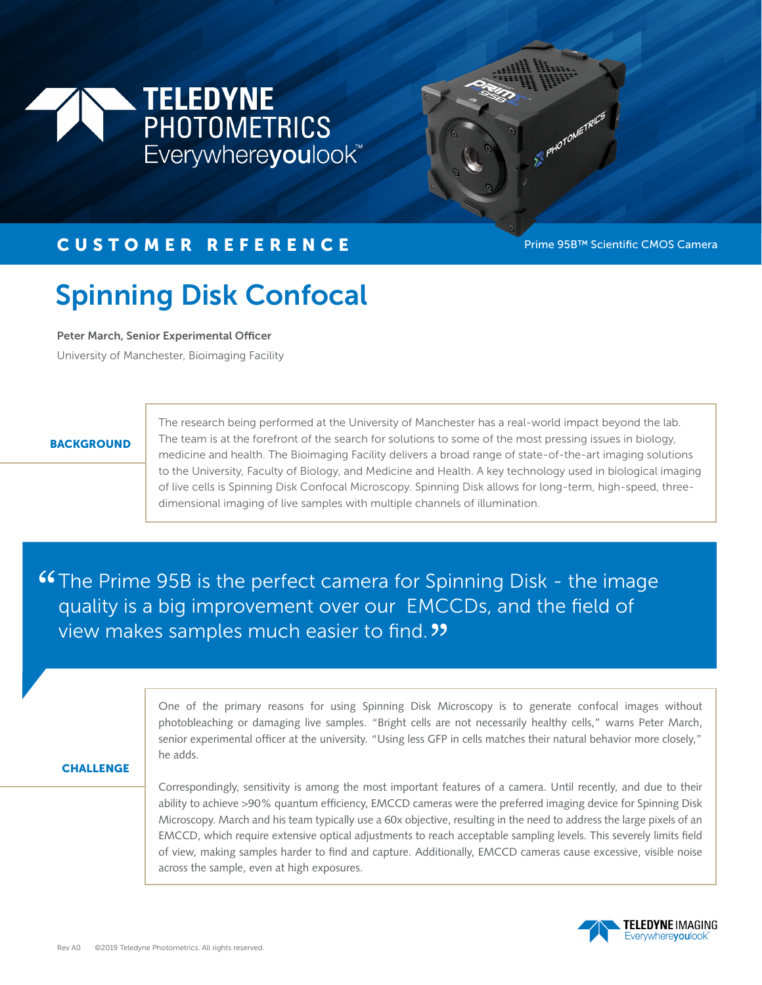



## CUSTOMER REFERENCE Prime 95B™ Scientific CMOS Camera

# Spinning Disk Confocal

Peter March, Senior Experimental Officer

University of Manchester, Bioimaging Facility

#### **BACKGROUND**

The research being performed at the University of Manchester has a real-world impact beyond the lab. The team is at the forefront of the search for solutions to some of the most pressing issues in biology, medicine and health. The Bioimaging Facility delivers a broad range of state-of-the-art imaging solutions to the University, Faculty of Biology, and Medicine and Health. A key technology used in biological imaging of live cells is Spinning Disk Confocal Microscopy. Spinning Disk allows for long-term, high-speed, threedimensional imaging of live samples with multiple channels of illumination.

**"The Prime 95B is the perfect camera for Spinning Disk - the image quality is a big improvement over our EMCCDs, and the field of** quality is a big improvement over our EMCCDs, and the field of<br>view makes samples much easier to find 22 view makes samples much easier to find.

> One of the primary reasons for using Spinning Disk Microscopy is to generate confocal images without photobleaching or damaging live samples. "Bright cells are not necessarily healthy cells," warns Peter March, senior experimental officer at the university. "Using less GFP in cells matches their natural behavior more closely," he adds.

#### **CHALLENGE**

Correspondingly, sensitivity is among the most important features of a camera. Until recently, and due to their ability to achieve >90% quantum efficiency, EMCCD cameras were the preferred imaging device for Spinning Disk Microscopy. March and his team typically use a 60x objective, resulting in the need to address the large pixels of an EMCCD, which require extensive optical adjustments to reach acceptable sampling levels. This severely limits field of view, making samples harder to find and capture. Additionally, EMCCD cameras cause excessive, visible noise across the sample, even at high exposures.